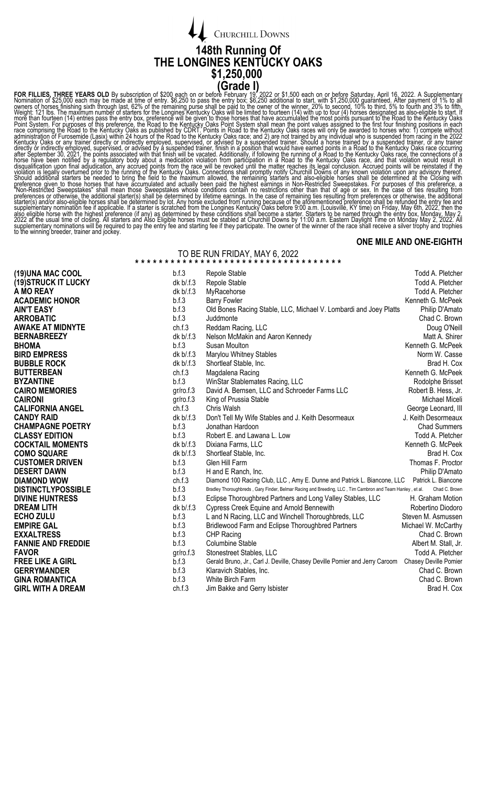

FOR FILIES THREE YEARS OLD By subscription of \$200 each on or before CFTaOL ()<br>When the film of this section in the statistical of \$200 each on or before Formula ().2022 or \$1,500 each on or before Studies when the measure

## **ONE MILE AND ONE-EIGHTH**

## TO BE RUN FRIDAY, MAY 6, 2022

| (19) UNA MAC COOL         | b.f.3       | Repole Stable                                                                                            | Todd A. Pletcher      |  |  |
|---------------------------|-------------|----------------------------------------------------------------------------------------------------------|-----------------------|--|--|
| (19) STRUCK IT LUCKY      | $dk b$ .f.3 | Repole Stable                                                                                            | Todd A. Pletcher      |  |  |
| A MO REAY                 | dk b/f.3    | MyRacehorse                                                                                              | Todd A. Pletcher      |  |  |
| <b>ACADEMIC HONOR</b>     | b.f.3       | <b>Barry Fowler</b>                                                                                      | Kenneth G. McPeek     |  |  |
| <b>AIN'T EASY</b>         | b.f.3       | Old Bones Racing Stable, LLC, Michael V. Lombardi and Joey Platts                                        | Philip D'Amato        |  |  |
| <b>ARROBATIC</b>          | b.f.3       | Juddmonte                                                                                                | Chad C. Brown         |  |  |
| <b>AWAKE AT MIDNYTE</b>   | ch.f.3      | Reddam Racing, LLC                                                                                       | Doug O'Neill          |  |  |
| <b>BERNABREEZY</b>        | $dk b$ .f.3 | Nelson McMakin and Aaron Kennedy                                                                         | Matt A. Shirer        |  |  |
| <b>BHOMA</b>              | b.f.3       | Susan Moulton                                                                                            | Kenneth G. McPeek     |  |  |
| <b>BIRD EMPRESS</b>       | dk b/.f.3   | Marylou Whitney Stables                                                                                  | Norm W. Casse         |  |  |
| <b>BUBBLE ROCK</b>        | dk b/.f.3   | Shortleaf Stable, Inc.                                                                                   | Brad H. Cox           |  |  |
| <b>BUTTERBEAN</b>         | ch.f.3      | Magdalena Racing                                                                                         | Kenneth G. McPeek     |  |  |
| <b>BYZANTINE</b>          | b.f.3       | WinStar Stablemates Racing, LLC                                                                          | Rodolphe Brisset      |  |  |
| <b>CAIRO MEMORIES</b>     | gr/ro.f.3   | David A. Bernsen, LLC and Schroeder Farms LLC                                                            | Robert B. Hess, Jr.   |  |  |
| <b>CAIRONI</b>            | gr/ro.f.3   | King of Prussia Stable                                                                                   | Michael Miceli        |  |  |
| <b>CALIFORNIA ANGEL</b>   | ch.f.3      | Chris Walsh                                                                                              | George Leonard, III   |  |  |
| <b>CANDY RAID</b>         | dk b/.f.3   | Don't Tell My Wife Stables and J. Keith Desormeaux                                                       | J. Keith Desormeaux   |  |  |
| <b>CHAMPAGNE POETRY</b>   | b.f.3       | Jonathan Hardoon                                                                                         | <b>Chad Summers</b>   |  |  |
| <b>CLASSY EDITION</b>     | b.f.3       | Robert E. and Lawana L. Low                                                                              | Todd A. Pletcher      |  |  |
| <b>COCKTAIL MOMENTS</b>   | dk b/.f.3   | Dixiana Farms, LLC                                                                                       | Kenneth G. McPeek     |  |  |
| <b>COMO SQUARE</b>        | $dk b$ .f.3 | Shortleaf Stable, Inc.                                                                                   | Brad H. Cox           |  |  |
| <b>CUSTOMER DRIVEN</b>    | b.f.3       | Glen Hill Farm                                                                                           | Thomas F. Proctor     |  |  |
| <b>DESERT DAWN</b>        | b.f.3       | H and E Ranch, Inc.                                                                                      | Philip D'Amato        |  |  |
| <b>DIAMOND WOW</b>        | ch.f.3      | Diamond 100 Racing Club, LLC, Amy E. Dunne and Patrick L. Biancone, LLC Patrick L. Biancone              |                       |  |  |
| <b>DISTINCTLYPOSSIBLE</b> | b.f.3       | Bradley Thoroughbreds, Gary Finder, Belmar Racing and Breeding, LLC, Tim Cambron and Team Hanley, et al. | Chad C. Brown         |  |  |
| <b>DIVINE HUNTRESS</b>    | b.f.3       | Eclipse Thoroughbred Partners and Long Valley Stables, LLC                                               | H. Graham Motion      |  |  |
| <b>DREAM LITH</b>         | dk b/.f.3   | <b>Cypress Creek Equine and Arnold Bennewith</b>                                                         | Robertino Diodoro     |  |  |
| <b>ECHO ZULU</b>          | b.f.3       | L and N Racing, LLC and Winchell Thoroughbreds, LLC                                                      | Steven M. Asmussen    |  |  |
| <b>EMPIRE GAL</b>         | b.f.3       | Bridlewood Farm and Eclipse Thoroughbred Partners                                                        | Michael W. McCarthy   |  |  |
| <b>EXXALTRESS</b>         | b.f.3       | CHP Racing                                                                                               | Chad C. Brown         |  |  |
| <b>FANNIE AND FREDDIE</b> | b.f.3       | <b>Columbine Stable</b>                                                                                  | Albert M. Stall, Jr.  |  |  |
| <b>FAVOR</b>              | gr/ro.f.3   | Stonestreet Stables, LLC                                                                                 | Todd A. Pletcher      |  |  |
| <b>FREE LIKE A GIRL</b>   | b.f.3       | Gerald Bruno, Jr., Carl J. Deville, Chasey Deville Pomier and Jerry Caroom                               | Chasey Deville Pomier |  |  |
| <b>GERRYMANDER</b>        | b.f.3       | Klaravich Stables, Inc.                                                                                  | Chad C. Brown         |  |  |
| <b>GINA ROMANTICA</b>     | b.f.3       | White Birch Farm                                                                                         | Chad C. Brown         |  |  |
| <b>GIRL WITH A DREAM</b>  | ch.f.3      | Jim Bakke and Gerry Isbister                                                                             | Brad H. Cox           |  |  |